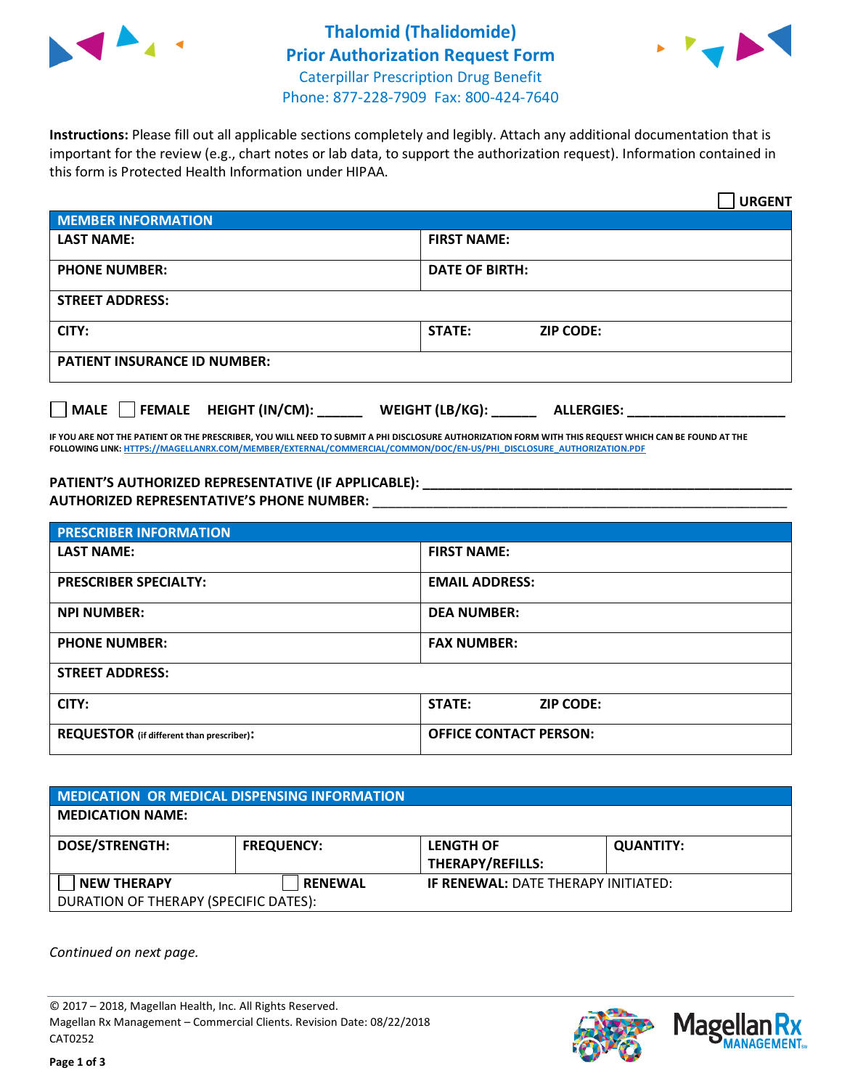



**Instructions:** Please fill out all applicable sections completely and legibly. Attach any additional documentation that is important for the review (e.g., chart notes or lab data, to support the authorization request). Information contained in this form is Protected Health Information under HIPAA.

|                                     | <b>URGENT</b>                        |  |  |  |
|-------------------------------------|--------------------------------------|--|--|--|
| <b>MEMBER INFORMATION</b>           |                                      |  |  |  |
| <b>LAST NAME:</b>                   | <b>FIRST NAME:</b>                   |  |  |  |
| <b>PHONE NUMBER:</b>                | <b>DATE OF BIRTH:</b>                |  |  |  |
| <b>STREET ADDRESS:</b>              |                                      |  |  |  |
| CITY:                               | STATE:<br><b>ZIP CODE:</b>           |  |  |  |
| <b>PATIENT INSURANCE ID NUMBER:</b> |                                      |  |  |  |
| FEMALE HEIGHT (IN/CM):<br>    MALE  | WEIGHT (LB/KG):<br><b>ALLERGIES:</b> |  |  |  |

**IF YOU ARE NOT THE PATIENT OR THE PRESCRIBER, YOU WILL NEED TO SUBMIT A PHI DISCLOSURE AUTHORIZATION FORM WITH THIS REQUEST WHICH CAN BE FOUND AT THE FOLLOWING LINK[: HTTPS://MAGELLANRX.COM/MEMBER/EXTERNAL/COMMERCIAL/COMMON/DOC/EN-US/PHI\\_DISCLOSURE\\_AUTHORIZATION.PDF](https://magellanrx.com/member/external/commercial/common/doc/en-us/PHI_Disclosure_Authorization.pdf)**

PATIENT'S AUTHORIZED REPRESENTATIVE (IF APPLICABLE): **AUTHORIZED REPRESENTATIVE'S PHONE NUMBER:** \_\_\_\_\_\_\_\_\_\_\_\_\_\_\_\_\_\_\_\_\_\_\_\_\_\_\_\_\_\_\_\_\_\_\_\_\_\_\_\_\_\_\_\_\_\_\_\_\_\_\_\_\_\_\_

| <b>PRESCRIBER INFORMATION</b>             |                               |  |  |  |
|-------------------------------------------|-------------------------------|--|--|--|
| <b>LAST NAME:</b>                         | <b>FIRST NAME:</b>            |  |  |  |
| <b>PRESCRIBER SPECIALTY:</b>              | <b>EMAIL ADDRESS:</b>         |  |  |  |
| <b>NPI NUMBER:</b>                        | <b>DEA NUMBER:</b>            |  |  |  |
| <b>PHONE NUMBER:</b>                      | <b>FAX NUMBER:</b>            |  |  |  |
| <b>STREET ADDRESS:</b>                    |                               |  |  |  |
| CITY:                                     | STATE:<br><b>ZIP CODE:</b>    |  |  |  |
| REQUESTOR (if different than prescriber): | <b>OFFICE CONTACT PERSON:</b> |  |  |  |

| <b>MEDICATION OR MEDICAL DISPENSING INFORMATION</b> |                   |                                            |                  |  |  |
|-----------------------------------------------------|-------------------|--------------------------------------------|------------------|--|--|
| <b>MEDICATION NAME:</b>                             |                   |                                            |                  |  |  |
| <b>DOSE/STRENGTH:</b>                               | <b>FREQUENCY:</b> | <b>LENGTH OF</b>                           | <b>QUANTITY:</b> |  |  |
|                                                     |                   | <b>THERAPY/REFILLS:</b>                    |                  |  |  |
| <b>NEW THERAPY</b>                                  | <b>RENEWAL</b>    | <b>IF RENEWAL: DATE THERAPY INITIATED:</b> |                  |  |  |
| DURATION OF THERAPY (SPECIFIC DATES):               |                   |                                            |                  |  |  |

*Continued on next page.*

© 2017 – 2018, Magellan Health, Inc. All Rights Reserved. Magellan Rx Management – Commercial Clients. Revision Date: 08/22/2018 CAT0252



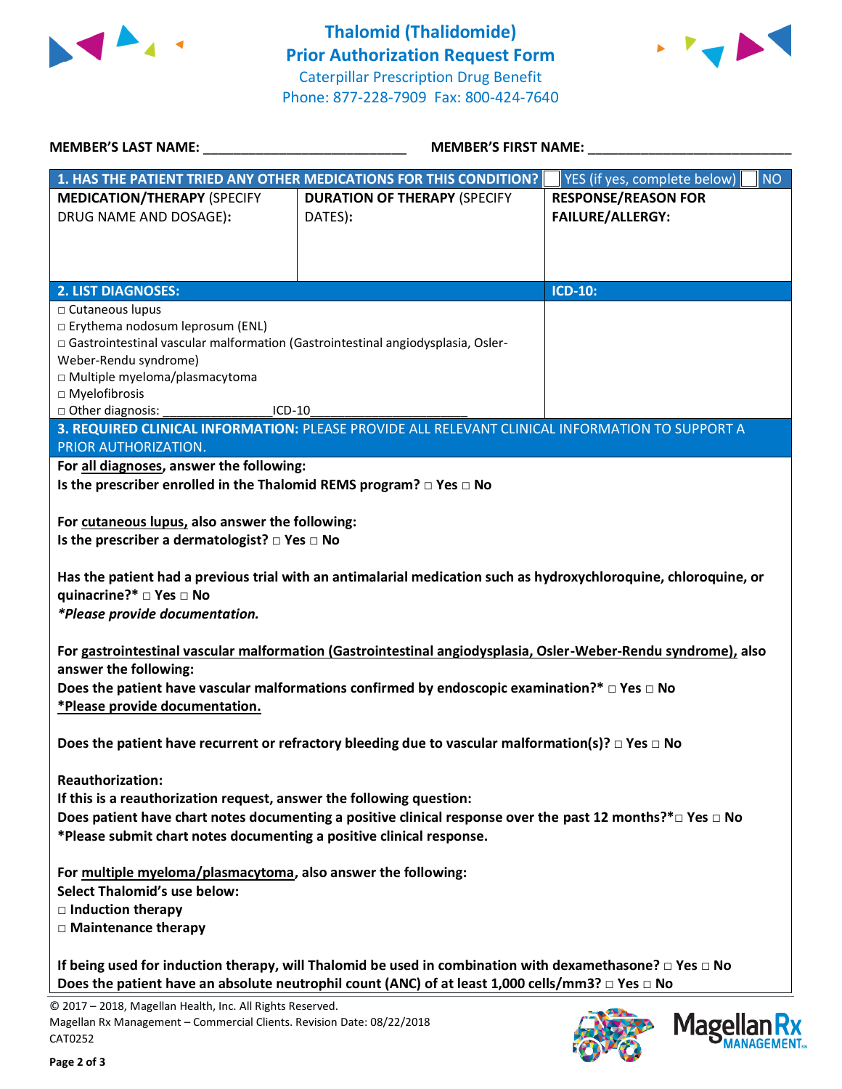



**Mage** 

**IAGEMENT** 

| <b>MEMBER'S LAST NAME:</b> NAME                                                                                                                                                                                                                                                                                                                                                                                                                                                                                                                  | <b>MEMBER'S FIRST NAME:</b>                                                                     |                                                       |  |  |
|--------------------------------------------------------------------------------------------------------------------------------------------------------------------------------------------------------------------------------------------------------------------------------------------------------------------------------------------------------------------------------------------------------------------------------------------------------------------------------------------------------------------------------------------------|-------------------------------------------------------------------------------------------------|-------------------------------------------------------|--|--|
|                                                                                                                                                                                                                                                                                                                                                                                                                                                                                                                                                  | 1. HAS THE PATIENT TRIED ANY OTHER MEDICATIONS FOR THIS CONDITION?                              | <b>NO</b><br>YES (if yes, complete below)             |  |  |
| <b>MEDICATION/THERAPY (SPECIFY</b><br>DRUG NAME AND DOSAGE):                                                                                                                                                                                                                                                                                                                                                                                                                                                                                     | <b>DURATION OF THERAPY (SPECIFY</b><br>DATES):                                                  | <b>RESPONSE/REASON FOR</b><br><b>FAILURE/ALLERGY:</b> |  |  |
|                                                                                                                                                                                                                                                                                                                                                                                                                                                                                                                                                  |                                                                                                 |                                                       |  |  |
| <b>2. LIST DIAGNOSES:</b><br>□ Cutaneous lupus<br>□ Erythema nodosum leprosum (ENL)<br>□ Gastrointestinal vascular malformation (Gastrointestinal angiodysplasia, Osler-<br>Weber-Rendu syndrome)<br>□ Multiple myeloma/plasmacytoma<br>□ Myelofibrosis<br>□ Other diagnosis:<br>$ICD-10$                                                                                                                                                                                                                                                        |                                                                                                 | <b>ICD-10:</b>                                        |  |  |
| <b>PRIOR AUTHORIZATION.</b>                                                                                                                                                                                                                                                                                                                                                                                                                                                                                                                      | 3. REQUIRED CLINICAL INFORMATION: PLEASE PROVIDE ALL RELEVANT CLINICAL INFORMATION TO SUPPORT A |                                                       |  |  |
| For all diagnoses, answer the following:<br>Is the prescriber enrolled in the Thalomid REMS program? $\Box$ Yes $\Box$ No<br>For cutaneous lupus, also answer the following:<br>Is the prescriber a dermatologist? $\square$ Yes $\square$ No<br>Has the patient had a previous trial with an antimalarial medication such as hydroxychloroquine, chloroquine, or<br>quinacrine?* □ Yes □ No<br>*Please provide documentation.<br>For gastrointestinal vascular malformation (Gastrointestinal angiodysplasia, Osler-Weber-Rendu syndrome), also |                                                                                                 |                                                       |  |  |
| answer the following:<br>Does the patient have vascular malformations confirmed by endoscopic examination?* $\Box$ Yes $\Box$ No<br>*Please provide documentation.                                                                                                                                                                                                                                                                                                                                                                               |                                                                                                 |                                                       |  |  |
| Does the patient have recurrent or refractory bleeding due to vascular malformation(s)? $\square$ Yes $\square$ No                                                                                                                                                                                                                                                                                                                                                                                                                               |                                                                                                 |                                                       |  |  |
| <b>Reauthorization:</b><br>If this is a reauthorization request, answer the following question:<br>Does patient have chart notes documenting a positive clinical response over the past 12 months?* $\Box$ Yes $\Box$ No<br>*Please submit chart notes documenting a positive clinical response.                                                                                                                                                                                                                                                 |                                                                                                 |                                                       |  |  |
| For multiple myeloma/plasmacytoma, also answer the following:<br><b>Select Thalomid's use below:</b><br>$\Box$ Induction therapy<br>□ Maintenance therapy                                                                                                                                                                                                                                                                                                                                                                                        |                                                                                                 |                                                       |  |  |
| If being used for induction therapy, will Thalomid be used in combination with dexamethasone? $\Box$ Yes $\Box$ No<br>Does the patient have an absolute neutrophil count (ANC) of at least 1,000 cells/mm3? $\Box$ Yes $\Box$ No<br>© 2017 - 2018, Magellan Health, Inc. All Rights Reserved.                                                                                                                                                                                                                                                    |                                                                                                 |                                                       |  |  |

Magellan Rx Management – Commercial Clients. Revision Date: 08/22/2018 CAT0252